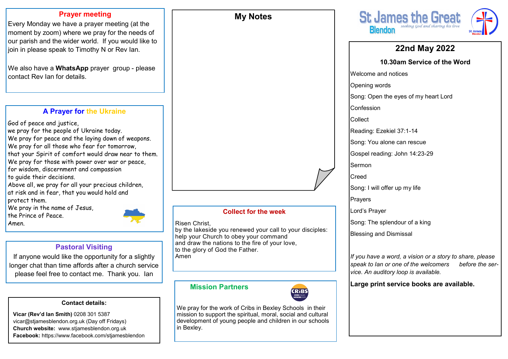### **Prayer meeting**

Every Monday we have a prayer meeting (at the moment by zoom) where we pray for the needs of our parish and the wider world. If you would like to join in please speak to Timothy N or Rev Ian.

We also have a **WhatsApp** prayer group - please contact Rev Ian for details.

### **A Prayer for the Ukraine**

God of peace and justice, we pray for the people of Ukraine today. We pray for peace and the laying down of weapons.

- We pray for all those who fear for tomorrow, that your Spirit of comfort would draw near to them.
- We pray for those with power over war or peace,
- for wisdom, discernment and compassion
- to guide their decisions.
- Above all, we pray for all your precious children, at risk and in fear, that you would hold and protect them.

We pray in the name of Jesus,

the Prince of Peace.

Amen.

### **Pastoral Visiting**

If anyone would like the opportunity for a slightly longer chat than time affords after a church service please feel free to contact me. Thank you. Ian

### **Contact details:**

**Vicar (Rev'd Ian Smith)** 0208 301 5387 vicar@stjamesblendon.org.uk (Day off Fridays) **Church website:** www.stjamesblendon.org.uk **Facebook:** https://www.facebook.com/stjamesblendon

# **Collect for the week** Risen Christ, by the lakeside you renewed your call to your disciples: help your Church to obey your command and draw the nations to the fire of your love, to the glory of God the Father.

**My Notes**

Amen

### **Mission Partners**



We pray for the work of Cribs in Bexley Schools in their mission to support the spiritual, moral, social and cultural development of young people and children in our schools in Bexley.



### **22nd May 2022 10.30am Service of the Word** Welcome and notices Opening words Song: Open the eyes of my heart Lord Confession Collect Reading: Ezekiel 37:1-14 Song: You alone can rescue Gospel reading: John 14:23-29 Sermon **Creed** Song: I will offer up my life Prayers Lord's Prayer Song: The splendour of a king Blessing and Dismissal *If you have a word, a vision or a story to share, please speak to Ian or one of the welcomers before the ser-*

**Large print service books are available.** 

*vice. An auditory loop is available.*